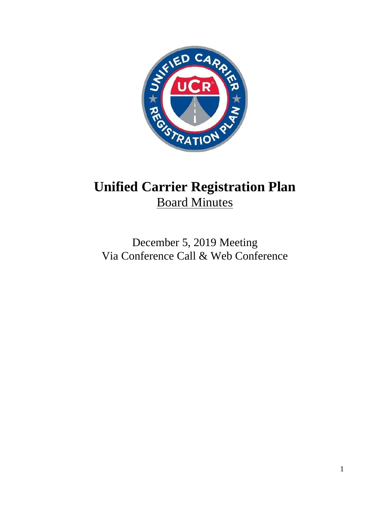

# **Unified Carrier Registration Plan** Board Minutes

# December 5, 2019 Meeting Via Conference Call & Web Conference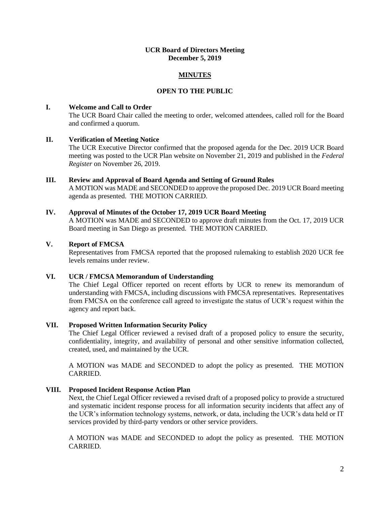#### **UCR Board of Directors Meeting December 5, 2019**

# **MINUTES**

# **OPEN TO THE PUBLIC**

# **I. Welcome and Call to Order**

The UCR Board Chair called the meeting to order, welcomed attendees, called roll for the Board and confirmed a quorum.

# **II. Verification of Meeting Notice**

The UCR Executive Director confirmed that the proposed agenda for the Dec. 2019 UCR Board meeting was posted to the UCR Plan website on November 21, 2019 and published in the *Federal Register* on November 26, 2019.

#### **III. Review and Approval of Board Agenda and Setting of Ground Rules**

A MOTION was MADE and SECONDED to approve the proposed Dec. 2019 UCR Board meeting agenda as presented. THE MOTION CARRIED.

#### **IV. Approval of Minutes of the October 17, 2019 UCR Board Meeting**

A MOTION was MADE and SECONDED to approve draft minutes from the Oct. 17, 2019 UCR Board meeting in San Diego as presented. THE MOTION CARRIED.

#### **V. Report of FMCSA**

Representatives from FMCSA reported that the proposed rulemaking to establish 2020 UCR fee levels remains under review.

# **VI. UCR / FMCSA Memorandum of Understanding**

The Chief Legal Officer reported on recent efforts by UCR to renew its memorandum of understanding with FMCSA, including discussions with FMCSA representatives. Representatives from FMCSA on the conference call agreed to investigate the status of UCR's request within the agency and report back.

# **VII. Proposed Written Information Security Policy**

The Chief Legal Officer reviewed a revised draft of a proposed policy to ensure the security, confidentiality, integrity, and availability of personal and other sensitive information collected, created, used, and maintained by the UCR.

A MOTION was MADE and SECONDED to adopt the policy as presented. THE MOTION CARRIED.

# **VIII. Proposed Incident Response Action Plan**

Next, the Chief Legal Officer reviewed a revised draft of a proposed policy to provide a structured and systematic incident response process for all information security incidents that affect any of the UCR's information technology systems, network, or data, including the UCR's data held or IT services provided by third-party vendors or other service providers.

A MOTION was MADE and SECONDED to adopt the policy as presented. THE MOTION CARRIED.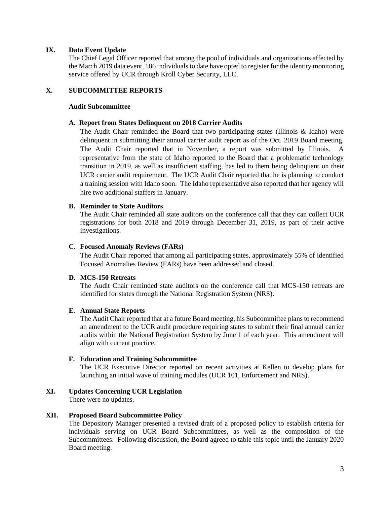# **IX. Data Event Update**

The Chief Legal Officer reported that among the pool of individuals and organizations affected by the March 2019 data event, 186 individuals to date have opted to register for the identity monitoring service offered by UCR through Kroll Cyber Security, LLC.

# **X. SUBCOMMITTEE REPORTS**

#### **Audit Subcommittee**

#### **A. Report from States Delinquent on 2018 Carrier Audits**

The Audit Chair reminded the Board that two participating states (Illinois & Idaho) were delinquent in submitting their annual carrier audit report as of the Oct. 2019 Board meeting. The Audit Chair reported that in November, a report was submitted by Illinois. A representative from the state of Idaho reported to the Board that a problematic technology transition in 2019, as well as insufficient staffing, has led to them being delinquent on their UCR carrier audit requirement. The UCR Audit Chair reported that he is planning to conduct a training session with Idaho soon. The Idaho representative also reported that her agency will hire two additional staffers in January.

#### **B. Reminder to State Auditors**

The Audit Chair reminded all state auditors on the conference call that they can collect UCR registrations for both 2018 and 2019 through December 31, 2019, as part of their active investigations.

# **C. Focused Anomaly Reviews (FARs)**

The Audit Chair reported that among all participating states, approximately 55% of identified Focused Anomalies Review (FARs) have been addressed and closed.

#### **D. MCS-150 Retreats**

The Audit Chair reminded state auditors on the conference call that MCS-150 retreats are identified for states through the National Registration System (NRS).

#### **E. Annual State Reports**

The Audit Chair reported that at a future Board meeting, his Subcommittee plans to recommend an amendment to the UCR audit procedure requiring states to submit their final annual carrier audits within the National Registration System by June 1 of each year. This amendment will align with current practice.

# **F. Education and Training Subcommittee**

The UCR Executive Director reported on recent activities at Kellen to develop plans for launching an initial wave of training modules (UCR 101, Enforcement and NRS).

# **XI. Updates Concerning UCR Legislation**

There were no updates.

#### **XII. Proposed Board Subcommittee Policy**

The Depository Manager presented a revised draft of a proposed policy to establish criteria for individuals serving on UCR Board Subcommittees, as well as the composition of the Subcommittees. Following discussion, the Board agreed to table this topic until the January 2020 Board meeting.